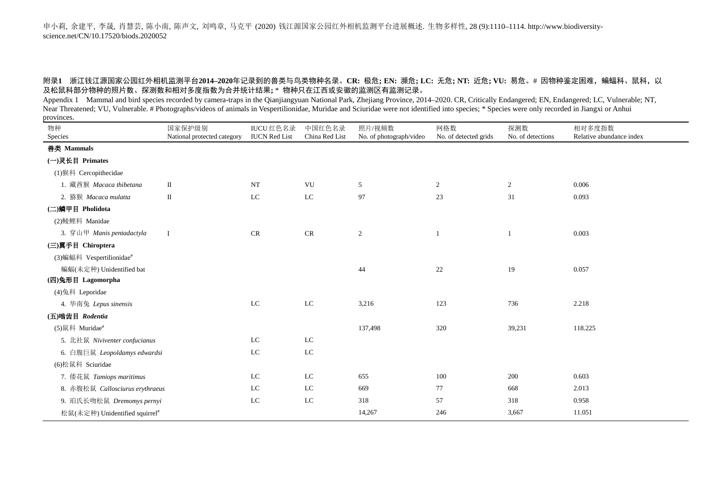## 附录**1** 浙江钱江源国家公园红外相机监测平台**2014–2020**年记录到的兽类与鸟类物种名录。**CR:** 极危**; EN:** 濒危**; LC:** 无危**; NT:** 近危**; VU:** 易危。# 因物种鉴定困难,蝙蝠科、鼠科,以 及松鼠科部分物种的照片数、探测数和相对多度指数为合并统计结果**;** \* 物种只在江西或安徽的监测区有监测记录。

Appendix 1 Mammal and bird species recorded by camera-traps in the Qianjiangyuan National Park, Zhejiang Province, 2014–2020. CR, Critically Endangered; EN, Endangered; LC, Vulnerable; NT, Near Threatened; VU, Vulnerable. # Photographs/videos of animals in Vespertilionidae, Muridae and Sciuridae were not identified into species; \* Species were only recorded in Jiangxi or Anhui provinces.

| 物种                                         | 国家保护级别                      | <b>IUCU</b> 红色名录     | 中国红色名录         | 照片/视频数                  | 网格数                   | 探测数               | 相对多度指数                   |
|--------------------------------------------|-----------------------------|----------------------|----------------|-------------------------|-----------------------|-------------------|--------------------------|
| Species                                    | National protected category | <b>IUCN Red List</b> | China Red List | No. of photograph/video | No. of detected grids | No. of detections | Relative abundance index |
| 兽类 Mammals                                 |                             |                      |                |                         |                       |                   |                          |
| (一)灵长目 Primates                            |                             |                      |                |                         |                       |                   |                          |
| (1)猴科 Cercopithecidae                      |                             |                      |                |                         |                       |                   |                          |
| 1. 藏酋猴 Macaca thibetana                    | $\;$ II                     | $\rm{NT}$            | VU             | 5                       | 2                     | $\overline{2}$    | 0.006                    |
| 2. 猕猴 Macaca mulatta                       | $\;$ II                     | ${\rm LC}$           | ${\rm LC}$     | 97                      | 23                    | 31                | 0.093                    |
| (二)鳞甲目 Pholidota                           |                             |                      |                |                         |                       |                   |                          |
| (2) 鲮鲤科 Manidae                            |                             |                      |                |                         |                       |                   |                          |
| 3. 穿山甲 Manis pentadactyla                  | $\mathbf I$                 | <b>CR</b>            | CR             | $\sqrt{2}$              | $\mathbf{1}$          | 1                 | 0.003                    |
| (三)翼手目 Chiroptera                          |                             |                      |                |                         |                       |                   |                          |
| (3)蝙蝠科 Vespertilionidae#                   |                             |                      |                |                         |                       |                   |                          |
| 蝙蝠(未定种) Unidentified bat                   |                             |                      |                | 44                      | 22                    | 19                | 0.057                    |
| (四)兔形目 Lagomorpha                          |                             |                      |                |                         |                       |                   |                          |
| (4)兔科 Leporidae                            |                             |                      |                |                         |                       |                   |                          |
| 4. 华南兔 Lepus sinensis                      |                             | $_{\rm LC}$          | ${\rm LC}$     | 3,216                   | 123                   | 736               | 2.218                    |
| (五)啮齿目 Rodentia                            |                             |                      |                |                         |                       |                   |                          |
| (5)鼠科 Muridae#                             |                             |                      |                | 137,498                 | 320                   | 39,231            | 118.225                  |
| 5. 北社鼠 Niviventer confucianus              |                             | $_{\rm LC}$          | ${\rm LC}$     |                         |                       |                   |                          |
| 6. 白腹巨鼠 Leopoldamys edwardsi               |                             | $_{\rm LC}$          | ${\rm LC}$     |                         |                       |                   |                          |
| (6) 松鼠科 Sciuridae                          |                             |                      |                |                         |                       |                   |                          |
| 7. 倭花鼠 Tamiops maritimus                   |                             | $_{\rm LC}$          | ${\rm LC}$     | 655                     | 100                   | 200               | 0.603                    |
| 8. 赤腹松鼠 Callosciurus erythraeus            |                             | ${\rm LC}$           | $_{\rm LC}$    | 669                     | 77                    | 668               | 2.013                    |
| 9. 珀氏长吻松鼠 Dremomys pernyi                  |                             | ${\rm LC}$           | ${\rm LC}$     | 318                     | 57                    | 318               | 0.958                    |
| 松鼠(未定种) Unidentified squirrel <sup>#</sup> |                             |                      |                | 14,267                  | 246                   | 3,667             | 11.051                   |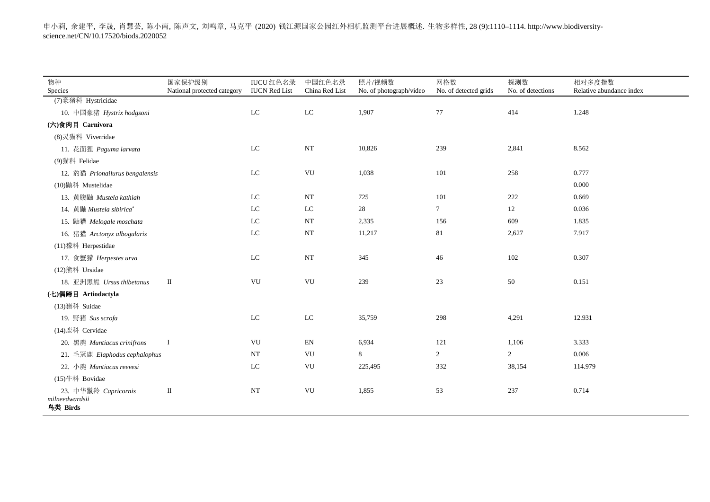| 物种                                                 | 国家保护级别                      | <b>IUCU</b> 红色名录     | 中国红色名录                     | 照片/视频数                  | 网格数                   | 探测数               | 相对多度指数                   |
|----------------------------------------------------|-----------------------------|----------------------|----------------------------|-------------------------|-----------------------|-------------------|--------------------------|
| Species                                            | National protected category | <b>IUCN</b> Red List | China Red List             | No. of photograph/video | No. of detected grids | No. of detections | Relative abundance index |
| (7) 豪猪科 Hystricidae                                |                             |                      |                            |                         |                       |                   |                          |
| 10. 中国豪猪 Hystrix hodgsoni                          |                             | ${\rm LC}$           | ${\rm LC}$                 | 1,907                   | 77                    | 414               | 1.248                    |
| (六)食肉目 Carnivora                                   |                             |                      |                            |                         |                       |                   |                          |
| (8)灵猫科 Viverridae                                  |                             |                      |                            |                         |                       |                   |                          |
| 11. 花面狸 Paguma larvata                             |                             | $_{\rm LC}$          | $_{\rm NT}$                | 10,826                  | 239                   | 2,841             | 8.562                    |
| (9)猫科 Felidae                                      |                             |                      |                            |                         |                       |                   |                          |
| 12. 豹猫 Prionailurus bengalensis                    |                             | ${\rm LC}$           | VU                         | 1,038                   | 101                   | 258               | 0.777                    |
| (10) 鼬科 Mustelidae                                 |                             |                      |                            |                         |                       |                   | 0.000                    |
| 13. 黄腹鼬 Mustela kathiah                            |                             | $_{\rm LC}$          | $_{\rm NT}$                | 725                     | 101                   | 222               | 0.669                    |
| 14. 黄鼬 Mustela sibirica*                           |                             | $_{\rm LC}$          | $_{\rm LC}$                | 28                      | $\tau$                | 12                | 0.036                    |
| 15. 鼬獾 Melogale moschata                           |                             | ${\rm LC}$           | $_{\rm NT}$                | 2,335                   | 156                   | 609               | 1.835                    |
| 16. 猪獾 Arctonyx albogularis                        |                             | ${\rm LC}$           | $_{\rm NT}$                | 11,217                  | 81                    | 2,627             | 7.917                    |
| (11) 獴科 Herpestidae                                |                             |                      |                            |                         |                       |                   |                          |
| 17. 食蟹獴 Herpestes urva                             |                             | $_{\rm LC}$          | $_{\rm NT}$                | 345                     | 46                    | 102               | 0.307                    |
| (12)熊科 Ursidae                                     |                             |                      |                            |                         |                       |                   |                          |
| 18. 亚洲黑熊 Ursus thibetanus                          | $\mathbf{I}$                | VU                   | VU                         | 239                     | 23                    | 50                | 0.151                    |
| (七)偶蹄目 Artiodactyla                                |                             |                      |                            |                         |                       |                   |                          |
| (13)猪科 Suidae                                      |                             |                      |                            |                         |                       |                   |                          |
| 19. 野猪 Sus scrofa                                  |                             | $_{\rm LC}$          | $_{\rm LC}$                | 35,759                  | 298                   | 4,291             | 12.931                   |
| (14)鹿科 Cervidae                                    |                             |                      |                            |                         |                       |                   |                          |
| 20. 黑麂 Muntiacus crinifrons                        | $\bf{I}$                    | VU                   | $\mathop{\rm EN}\nolimits$ | 6,934                   | 121                   | 1,106             | 3.333                    |
| 21. 毛冠鹿 Elaphodus cephalophus                      |                             | NT                   | VU                         | 8                       | $\overline{2}$        | $\overline{2}$    | 0.006                    |
| 22. 小麂 Muntiacus reevesi                           |                             | ${\rm LC}$           | VU                         | 225,495                 | 332                   | 38,154            | 114.979                  |
| (15)牛科 Bovidae                                     |                             |                      |                            |                         |                       |                   |                          |
| 23. 中华鬣羚 Capricornis<br>milneedwardsii<br>鸟类 Birds | $\rm II$                    | $_{\rm NT}$          | VU                         | 1,855                   | 53                    | 237               | 0.714                    |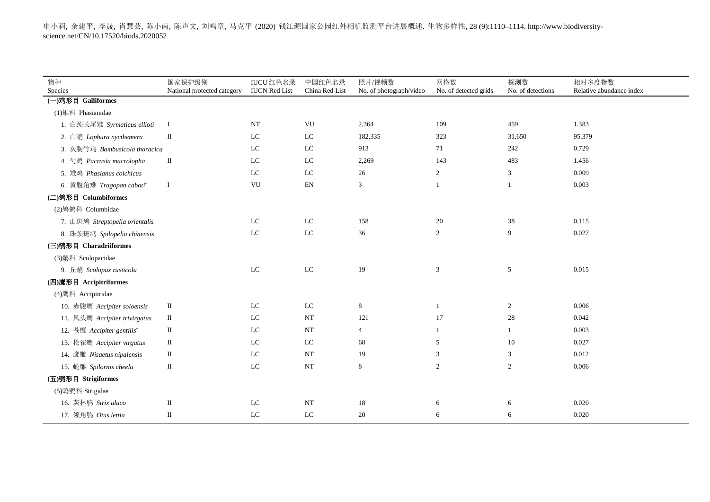| 物种<br>Species                  | 国家保护级别<br>National protected category | <b>IUCU</b> 红色名录<br><b>IUCN Red List</b> | 中国红色名录<br>China Red List   | 照片/视频数<br>No. of photograph/video | 网格数<br>No. of detected grids | 探测数<br>No. of detections | 相对多度指数<br>Relative abundance index |
|--------------------------------|---------------------------------------|------------------------------------------|----------------------------|-----------------------------------|------------------------------|--------------------------|------------------------------------|
| (一)鸡形目 Galliformes             |                                       |                                          |                            |                                   |                              |                          |                                    |
| (1) 雉科 Phasianidae             |                                       |                                          |                            |                                   |                              |                          |                                    |
| 1. 白颈长尾雉 Syrmaticus ellioti    | Ι                                     | <b>NT</b>                                | VU                         | 2,364                             | 109                          | 459                      | 1.383                              |
| 2. 白鹇 Lophura nycthemera       | $\;$ II                               | $_{\rm LC}$                              | $_{\rm LC}$                | 182,335                           | 323                          | 31,650                   | 95.379                             |
| 3. 灰胸竹鸡 Bambusicola thoracica  |                                       | LC                                       | $_{\rm LC}$                | 913                               | 71                           | 242                      | 0.729                              |
| 4. 勺鸡 Pucrasia macrolopha      | $\mathbf{I}$                          | LC                                       | $_{\rm LC}$                | 2,269                             | 143                          | 483                      | 1.456                              |
| 5. 雉鸡 Phasianus colchicus      |                                       | LC                                       | $_{\rm LC}$                | 26                                | $\overline{2}$               | 3                        | 0.009                              |
| 6. 黄腹角雉 Tragopan caboti*       | $\mathbf I$                           | ${\rm VU}$                               | $\mathop{\rm EN}\nolimits$ | $\mathfrak{Z}$                    | $\mathbf{1}$                 | $\mathbf{1}$             | 0.003                              |
| (二)鸽形目 Columbiformes           |                                       |                                          |                            |                                   |                              |                          |                                    |
| (2)鸠鸽科 Columbidae              |                                       |                                          |                            |                                   |                              |                          |                                    |
| 7. 山斑鸠 Streptopelia orientalis |                                       | LC                                       | ${\rm LC}$                 | 158                               | 20                           | 38                       | 0.115                              |
| 8. 珠颈斑鸠 Spilopelia chinensis   |                                       | $_{\rm LC}$                              | ${\rm LC}$                 | 36                                | $\overline{c}$               | 9                        | 0.027                              |
| (三) 鸻形目 Charadriiformes        |                                       |                                          |                            |                                   |                              |                          |                                    |
| (3)鹬科 Scolopacidae             |                                       |                                          |                            |                                   |                              |                          |                                    |
| 9. 丘鹬 Scolopax rusticola       |                                       | LC                                       | ${\rm LC}$                 | 19                                | 3                            | 5                        | 0.015                              |
| (四)鹰形目 Accipitriformes         |                                       |                                          |                            |                                   |                              |                          |                                    |
| (4)鹰科 Accipitridae             |                                       |                                          |                            |                                   |                              |                          |                                    |
| 10. 赤腹鹰 Accipiter soloensis    | П                                     | LC                                       | $_{\rm LC}$                | 8                                 | -1                           | 2                        | 0.006                              |
| 11. 凤头鹰 Accipiter trivirgatus  | $\mathbf{I}$                          | LC                                       | <b>NT</b>                  | 121                               | 17                           | $28\,$                   | 0.042                              |
| 12. 苍鹰 Accipiter gentilis*     | $\mathbf{I}$                          | $_{\rm LC}$                              | <b>NT</b>                  | $\overline{4}$                    | $\mathbf{1}$                 | $\mathbf{1}$             | 0.003                              |
| 13. 松雀鹰 Accipiter virgatus     | П                                     | LC                                       | LC                         | 68                                | 5                            | 10                       | 0.027                              |
| 14. 鹰雕 Nisaetus nipalensis     | П                                     | LC                                       | <b>NT</b>                  | 19                                | 3                            | $\mathfrak{Z}$           | 0.012                              |
| 15. 蛇雕 Spilornis cheela        | $\mathbf{I}$                          | LC                                       | NT                         | 8                                 | 2                            | 2                        | 0.006                              |
| (五)鸮形目 Strigiformes            |                                       |                                          |                            |                                   |                              |                          |                                    |
| (5)鸱鸮科 Strigidae               |                                       |                                          |                            |                                   |                              |                          |                                    |
| 16. 灰林鸮 Strix aluco            | П                                     | LC                                       | <b>NT</b>                  | 18                                | 6                            | 6                        | 0.020                              |
| 17. 领角鸮 Otus lettia            | П                                     | LC                                       | LC                         | 20                                | 6                            | 6                        | 0.020                              |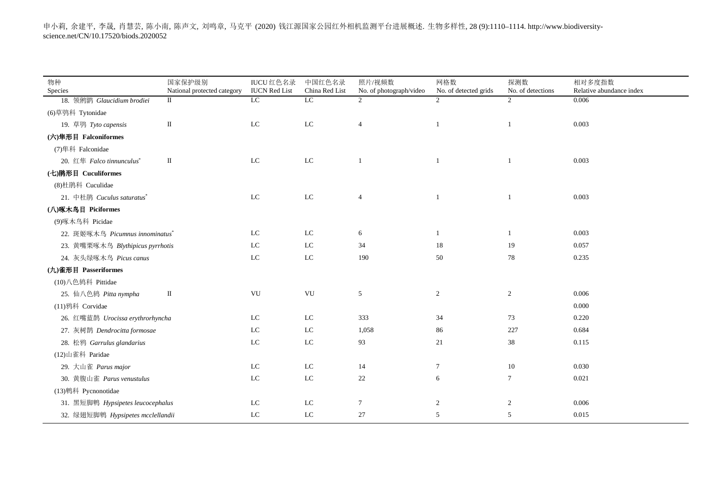申小莉, 余建平, 李晟, 肖慧芸, 陈小南, 陈声文, 刘鸣章, 马克平 (2020) 钱江源国家公园红外相机监测平台进展概述. 生物多样性, 28 (9):1110–1114. http://www.biodiversityscience.net/CN/10.17520/biods.2020052

| 物种                                | 国家保护级别                      | <b>IUCU</b> 红色名录           | 中国红色名录         | 照片/视频数                  | 网格数                   | 探测数               | 相对多度指数                   |
|-----------------------------------|-----------------------------|----------------------------|----------------|-------------------------|-----------------------|-------------------|--------------------------|
| Species                           | National protected category | <b>IUCN</b> Red List       | China Red List | No. of photograph/video | No. of detected grids | No. of detections | Relative abundance index |
| 18. 领鸺鹠 Glaucidium brodiei        | $\mathbf{I}$                | LC                         | LC             | 2                       | 2                     | $\overline{2}$    | 0.006                    |
| (6)草鸮科 Tytonidae                  |                             |                            |                |                         |                       |                   |                          |
| 19. 草鸮 Tyto capensis              | $\rm II$                    | ${\rm LC}$                 | ${\rm LC}$     | $\overline{4}$          | $\overline{1}$        | $\mathbf{1}$      | 0.003                    |
| (六)隼形目 Falconiformes              |                             |                            |                |                         |                       |                   |                          |
| (7) 隼科 Falconidae                 |                             |                            |                |                         |                       |                   |                          |
| 20. 红隼 Falco tinnunculus*         | $\rm II$                    | ${\rm LC}$                 | ${\rm LC}$     | 1                       | -1                    | $\mathbf{1}$      | 0.003                    |
| (七) 鹃形目 Cuculiformes              |                             |                            |                |                         |                       |                   |                          |
| (8) 杜鹃科 Cuculidae                 |                             |                            |                |                         |                       |                   |                          |
| 21. 中杜鹃 Cuculus saturatus*        |                             | ${\rm LC}$                 | ${\rm LC}$     | $\overline{4}$          | $\mathbf{1}$          | $\mathbf{1}$      | 0.003                    |
| (八)啄木鸟目 Piciformes                |                             |                            |                |                         |                       |                   |                          |
| (9)啄木鸟科 Picidae                   |                             |                            |                |                         |                       |                   |                          |
| 22. 斑姬啄木鸟 Picumnus innominatus*   |                             | $\mathop{\rm LC}\nolimits$ | ${\rm LC}$     | 6                       | -1                    | 1                 | 0.003                    |
| 23. 黄嘴栗啄木鸟 Blythipicus pyrrhotis  |                             | $\mathop{\rm LC}\nolimits$ | ${\rm LC}$     | 34                      | 18                    | 19                | 0.057                    |
| 24. 灰头绿啄木鸟 Picus canus            |                             | ${\rm LC}$                 | ${\rm LC}$     | 190                     | 50                    | 78                | 0.235                    |
| (九)雀形目 Passeriformes              |                             |                            |                |                         |                       |                   |                          |
| (10) 八色鸫科 Pittidae                |                             |                            |                |                         |                       |                   |                          |
| 25. 仙八色鸫 Pitta nympha             | П                           | VU                         | VU             | 5                       | $\overline{2}$        | $\overline{2}$    | 0.006                    |
| (11) 鸦科 Corvidae                  |                             |                            |                |                         |                       |                   | 0.000                    |
| 26. 红嘴蓝鹊 Urocissa erythrorhyncha  |                             | $\mathop{\rm LC}\nolimits$ | ${\rm LC}$     | 333                     | 34                    | 73                | 0.220                    |
| 27. 灰树鹊 Dendrocitta formosae      |                             | ${\rm LC}$                 | ${\rm LC}$     | 1,058                   | 86                    | 227               | 0.684                    |
| 28. 松鸦 Garrulus glandarius        |                             | $\mathop{\rm LC}\nolimits$ | ${\rm LC}$     | 93                      | 21                    | 38                | 0.115                    |
| (12)山雀科 Paridae                   |                             |                            |                |                         |                       |                   |                          |
| 29. 大山雀 Parus major               |                             | LC                         | ${\rm LC}$     | 14                      | $\overline{7}$        | 10                | 0.030                    |
| 30. 黄腹山雀 Parus venustulus         |                             | ${\rm LC}$                 | ${\rm LC}$     | 22                      | 6                     | $\tau$            | 0.021                    |
| (13) 鹎科 Pycnonotidae              |                             |                            |                |                         |                       |                   |                          |
| 31. 黑短脚鹎 Hypsipetes leucocephalus |                             | ${\rm LC}$                 | ${\rm LC}$     | 7                       | $\overline{c}$        | $\overline{c}$    | 0.006                    |
| 32. 绿翅短脚鹎 Hypsipetes mcclellandii |                             | $\mathop{\rm LC}\nolimits$ | ${\rm LC}$     | 27                      | 5                     | 5                 | 0.015                    |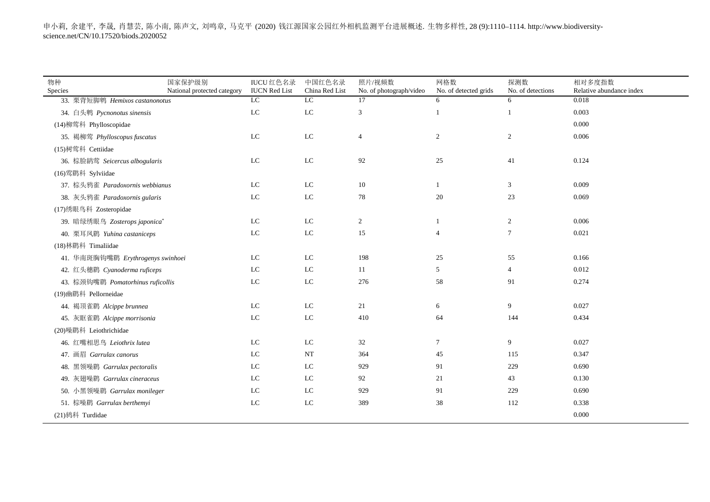| 物种<br>Species                     | 国家保护级别<br>National protected category | <b>IUCU</b> 红色名录<br><b>IUCN Red List</b> | 中国红色名录<br>China Red List | 照片/视频数<br>No. of photograph/video | 网格数<br>No. of detected grids | 探测数<br>No. of detections | 相对多度指数<br>Relative abundance index |
|-----------------------------------|---------------------------------------|------------------------------------------|--------------------------|-----------------------------------|------------------------------|--------------------------|------------------------------------|
| 33. 栗背短脚鹎 Hemixos castanonotus    |                                       | LC                                       | $_{\rm LC}$              | 17                                | 6                            | 6                        | 0.018                              |
| 34. 白头鹎 Pycnonotus sinensis       |                                       | LC                                       | ${\rm LC}$               | 3                                 |                              | $\mathbf{1}$             | 0.003                              |
| (14)柳莺科 Phylloscopidae            |                                       |                                          |                          |                                   |                              |                          | 0.000                              |
| 35. 褐柳莺 Phylloscopus fuscatus     |                                       | LC                                       | ${\rm LC}$               | $\overline{4}$                    | 2                            | $\overline{c}$           | 0.006                              |
| (15) 树莺科 Cettiidae                |                                       |                                          |                          |                                   |                              |                          |                                    |
| 36. 棕脸鹟莺 Seicercus albogularis    |                                       | LC                                       | ${\rm LC}$               | 92                                | 25                           | 41                       | 0.124                              |
| (16) 莺鹛科 Sylviidae                |                                       |                                          |                          |                                   |                              |                          |                                    |
| 37. 棕头鸦雀 Paradoxornis webbianus   |                                       | LC                                       | LC                       | 10                                |                              | 3                        | 0.009                              |
| 38. 灰头鸦雀 Paradoxornis gularis     |                                       | LC                                       | ${\rm LC}$               | 78                                | 20                           | 23                       | 0.069                              |
| (17)绣眼鸟科 Zosteropidae             |                                       |                                          |                          |                                   |                              |                          |                                    |
| 39. 暗绿绣眼鸟 Zosterops japonica*     |                                       | LC                                       | LC                       | $\overline{2}$                    |                              | $\overline{c}$           | 0.006                              |
| 40. 栗耳凤鹛 Yuhina castaniceps       |                                       | LC                                       | ${\rm LC}$               | 15                                | $\overline{4}$               | $\tau$                   | 0.021                              |
| (18) 林鹛科 Timaliidae               |                                       |                                          |                          |                                   |                              |                          |                                    |
| 41. 华南斑胸钩嘴鹛 Erythrogenys swinhoei |                                       | LC                                       | LC                       | 198                               | 25                           | 55                       | 0.166                              |
| 42. 红头穗鹛 Cyanoderma ruficeps      |                                       | LC                                       | ${\rm LC}$               | 11                                | 5                            | $\overline{4}$           | 0.012                              |
| 43. 棕颈钩嘴鹛 Pomatorhinus ruficollis |                                       | LC                                       | ${\rm LC}$               | 276                               | 58                           | 91                       | 0.274                              |
| (19)幽鹛科 Pellorneidae              |                                       |                                          |                          |                                   |                              |                          |                                    |
| 44. 褐顶雀鹛 Alcippe brunnea          |                                       | LC                                       | LC                       | 21                                | 6                            | 9                        | 0.027                              |
| 45. 灰眶雀鹛 Alcippe morrisonia       |                                       | LC                                       | ${\rm LC}$               | 410                               | 64                           | 144                      | 0.434                              |
| (20)噪鹛科 Leiothrichidae            |                                       |                                          |                          |                                   |                              |                          |                                    |
| 46. 红嘴相思鸟 Leiothrix lutea         |                                       | LC                                       | LC                       | 32                                | $\tau$                       | 9                        | 0.027                              |
| 47. 画眉 Garrulax canorus           |                                       | LC                                       | NT                       | 364                               | 45                           | 115                      | 0.347                              |
| 48. 黑领噪鹛 Garrulax pectoralis      |                                       | LC                                       | ${\rm LC}$               | 929                               | 91                           | 229                      | 0.690                              |
| 49. 灰翅噪鹛 Garrulax cineraceus      |                                       | LC                                       | $_{\rm LC}$              | 92                                | 21                           | 43                       | 0.130                              |
| 50. 小黑领噪鹛 Garrulax monileger      |                                       | LC                                       | ${\rm LC}$               | 929                               | 91                           | 229                      | 0.690                              |
| 51. 棕噪鹛 Garrulax berthemyi        |                                       | LC                                       | LC                       | 389                               | 38                           | 112                      | 0.338                              |
| (21) 鸫科 Turdidae                  |                                       |                                          |                          |                                   |                              |                          | 0.000                              |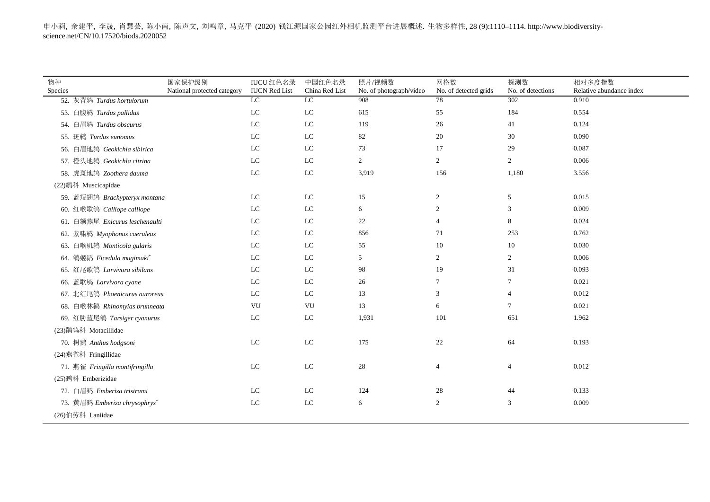| 物种                              | 国家保护级别                      | <b>IUCU</b> 红色名录           | 中国红色名录         | 照片/视频数                         | 网格数                   | 探测数               | 相对多度指数                   |
|---------------------------------|-----------------------------|----------------------------|----------------|--------------------------------|-----------------------|-------------------|--------------------------|
| Species                         | National protected category | <b>IUCN</b> Red List       | China Red List | No. of photograph/video<br>908 | No. of detected grids | No. of detections | Relative abundance index |
| 52. 灰背鸫 Turdus hortulorum       |                             | LC                         | LC             |                                | 78                    | 302               | 0.910                    |
| 53. 白腹鸫 Turdus pallidus         |                             | ${\rm LC}$                 | ${\rm LC}$     | 615                            | 55                    | 184               | 0.554                    |
| 54. 白眉鸫 Turdus obscurus         |                             | $\mathop{\rm LC}\nolimits$ | ${\rm LC}$     | 119                            | 26                    | 41                | 0.124                    |
| 55. 斑鸫 Turdus eunomus           |                             | $_{\rm LC}$                | ${\rm LC}$     | 82                             | 20                    | 30                | 0.090                    |
| 56. 白眉地鸫 Geokichla sibirica     |                             | $_{\rm LC}$                | $_{\rm LC}$    | 73                             | 17                    | 29                | 0.087                    |
| 57. 橙头地鸫 Geokichla citrina      |                             | $\mathop{\rm LC}\nolimits$ | ${\rm LC}$     | $\overline{c}$                 | 2                     | $\overline{2}$    | 0.006                    |
| 58. 虎斑地鸫 Zoothera dauma         |                             | ${\rm LC}$                 | ${\rm LC}$     | 3,919                          | 156                   | 1,180             | 3.556                    |
| (22)鹟科 Muscicapidae             |                             |                            |                |                                |                       |                   |                          |
| 59. 蓝短翅鸫 Brachypteryx montana   |                             | $\mathop{\rm LC}\nolimits$ | ${\rm LC}$     | 15                             | $\overline{c}$        | 5                 | 0.015                    |
| 60. 红喉歌鸲 Calliope calliope      |                             | $\mathop{\rm LC}\nolimits$ | ${\rm LC}$     | 6                              | $\overline{c}$        | 3                 | 0.009                    |
| 61. 白额燕尾 Enicurus leschenaulti  |                             | ${\rm LC}$                 | ${\rm LC}$     | 22                             | $\overline{4}$        | 8                 | 0.024                    |
| 62. 紫啸鸫 Myophonus caeruleus     |                             | $\mathop{\rm LC}\nolimits$ | ${\rm LC}$     | 856                            | 71                    | 253               | 0.762                    |
| 63. 白喉矶鸫 Monticola gularis      |                             | LC                         | LC             | 55                             | 10                    | 10                | 0.030                    |
| 64. 鸲姬鹟 Ficedula mugimaki*      |                             | $\mathop{\rm LC}\nolimits$ | ${\rm LC}$     | 5                              | 2                     | $\overline{c}$    | 0.006                    |
| 65. 红尾歌鸲 Larvivora sibilans     |                             | ${\rm LC}$                 | ${\rm LC}$     | 98                             | 19                    | 31                | 0.093                    |
| 66. 蓝歌鸲 Larvivora cyane         |                             | $\rm LC$                   | ${\rm LC}$     | 26                             | $7\phantom{.0}$       | $\tau$            | 0.021                    |
| 67. 北红尾鸲 Phoenicurus auroreus   |                             | $\rm LC$                   | ${\rm LC}$     | 13                             | 3                     | $\overline{4}$    | 0.012                    |
| 68. 白喉林鹟 Rhinomyias brunneata   |                             | VU                         | VU             | 13                             | 6                     | $\tau$            | 0.021                    |
| 69. 红胁蓝尾鸲 Tarsiger cyanurus     |                             | $\rm LC$                   | ${\rm LC}$     | 1,931                          | 101                   | 651               | 1.962                    |
| (23)鹡鸰科 Motacillidae            |                             |                            |                |                                |                       |                   |                          |
| 70. 树鹨 Anthus hodgsoni          |                             | $\rm LC$                   | ${\rm LC}$     | 175                            | $22\,$                | 64                | 0.193                    |
| (24) 燕雀科 Fringillidae           |                             |                            |                |                                |                       |                   |                          |
| 71. 燕雀 Fringilla montifringilla |                             | $\rm LC$                   | ${\rm LC}$     | 28                             | $\overline{4}$        | 4                 | 0.012                    |
| (25)鹀科 Emberizidae              |                             |                            |                |                                |                       |                   |                          |
| 72. 白眉鹀 Emberiza tristrami      |                             | ${\rm LC}$                 | ${\rm LC}$     | 124                            | 28                    | 44                | 0.133                    |
| 73. 黄眉鹀 Emberiza chrysophrys*   |                             | $\rm LC$                   | ${\rm LC}$     | 6                              | 2                     | 3                 | 0.009                    |
| (26)伯劳科 Laniidae                |                             |                            |                |                                |                       |                   |                          |